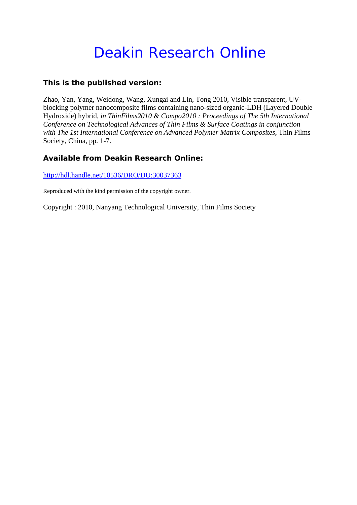# Deakin Research Online

## **This is the published version:**

Zhao, Yan, Yang, Weidong, Wang, Xungai and Lin, Tong 2010, Visible transparent, UVblocking polymer nanocomposite films containing nano-sized organic-LDH (Layered Double Hydroxide) hybrid*, in ThinFilms2010 & Compo2010 : Proceedings of The 5th International Conference on Technological Advances of Thin Films & Surface Coatings in conjunction with The 1st International Conference on Advanced Polymer Matrix Composites*, Thin Films Society, China, pp. 1-7.

## **Available from Deakin Research Online:**

http://hdl.handle.net/10536/DRO/DU:30037363

Reproduced with the kind permission of the copyright owner.

Copyright : 2010, Nanyang Technological University, Thin Films Society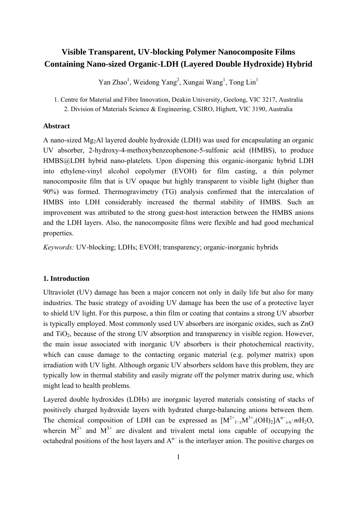# **Visible Transparent, UV-blocking Polymer Nanocomposite Films Containing Nano-sized Organic-LDH (Layered Double Hydroxide) Hybrid**

Yan Zhao<sup>1</sup>, Weidong Yang<sup>2</sup>, Xungai Wang<sup>1</sup>, Tong Lin<sup>1</sup>

1. Centre for Material and Fibre Innovation, Deakin University, Geelong, VIC 3217, Australia 2. Division of Materials Science & Engineering, CSIRO, Highett, VIC 3190, Australia

#### **Abstract**

A nano-sized Mg2Al layered double hydroxide (LDH) was used for encapsulating an organic UV absorber, 2-hydroxy-4-methoxybenzeophenone-5-sulfonic acid (HMBS), to produce HMBS@LDH hybrid nano-platelets. Upon dispersing this organic-inorganic hybrid LDH into ethylene-vinyl alcohol copolymer (EVOH) for film casting, a thin polymer nanocomposite film that is UV opaque but highly transparent to visible light (higher than 90%) was formed. Thermogravimetry (TG) analysis confirmed that the intercalation of HMBS into LDH considerably increased the thermal stability of HMBS. Such an improvement was attributed to the strong guest-host interaction between the HMBS anions and the LDH layers. Also, the nanocomposite films were flexible and had good mechanical properties.

*Keywords:* UV-blocking; LDHs; EVOH; transparency; organic-inorganic hybrids

### **1. Introduction**

Ultraviolet (UV) damage has been a major concern not only in daily life but also for many industries. The basic strategy of avoiding UV damage has been the use of a protective layer to shield UV light. For this purpose, a thin film or coating that contains a strong UV absorber is typically employed. Most commonly used UV absorbers are inorganic oxides, such as ZnO and  $TiO<sub>2</sub>$ , because of the strong UV absorption and transparency in visible region. However, the main issue associated with inorganic UV absorbers is their photochemical reactivity, which can cause damage to the contacting organic material (e.g. polymer matrix) upon irradiation with UV light. Although organic UV absorbers seldom have this problem, they are typically low in thermal stability and easily migrate off the polymer matrix during use, which might lead to health problems.

Layered double hydroxides (LDHs) are inorganic layered materials consisting of stacks of positively charged hydroxide layers with hydrated charge-balancing anions between them. The chemical composition of LDH can be expressed as  $[M^{2+}{}_{1-x}M^{3+}{}_{x}(OH)_2]A^{n-}{}_{x/n}M^{1-}{}_{z}O$ , wherein  $M^{2+}$  and  $M^{3+}$  are divalent and trivalent metal ions capable of occupying the octahedral positions of the host layers and  $A<sup>n−</sup>$  is the interlayer anion. The positive charges on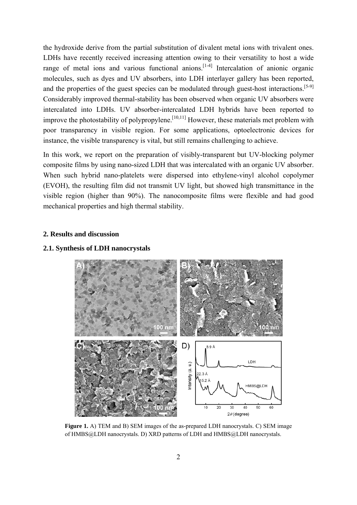the hydroxide derive from the partial substitution of divalent metal ions with trivalent ones. LDHs have recently received increasing attention owing to their versatility to host a wide range of metal ions and various functional anions.<sup>[1-4]</sup> Intercalation of anionic organic molecules, such as dyes and UV absorbers, into LDH interlayer gallery has been reported, and the properties of the guest species can be modulated through guest-host interactions.<sup>[5-9]</sup> Considerably improved thermal-stability has been observed when organic UV absorbers were intercalated into LDHs. UV absorber-intercalated LDH hybrids have been reported to improve the photostability of polypropylene.<sup>[10,11]</sup> However, these materials met problem with poor transparency in visible region. For some applications, optoelectronic devices for instance, the visible transparency is vital, but still remains challenging to achieve.

In this work, we report on the preparation of visibly-transparent but UV-blocking polymer composite films by using nano-sized LDH that was intercalated with an organic UV absorber. When such hybrid nano-platelets were dispersed into ethylene-vinyl alcohol copolymer (EVOH), the resulting film did not transmit UV light, but showed high transmittance in the visible region (higher than 90%). The nanocomposite films were flexible and had good mechanical properties and high thermal stability.

#### **2. Results and discussion**

#### **2.1. Synthesis of LDH nanocrystals**



**Figure 1.** A) TEM and B) SEM images of the as-prepared LDH nanocrystals. C) SEM image of HMBS@LDH nanocrystals. D) XRD patterns of LDH and HMBS@LDH nanocrystals.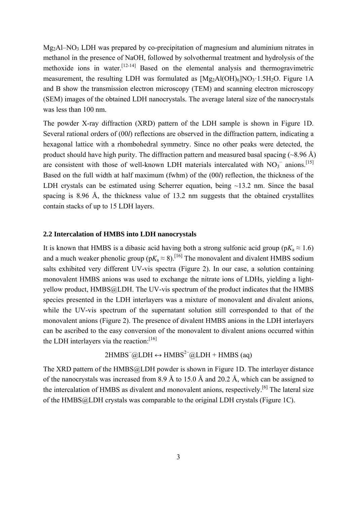$Mg_2A1-NO_3$  LDH was prepared by co-precipitation of magnesium and aluminium nitrates in methanol in the presence of NaOH, followed by solvothermal treatment and hydrolysis of the methoxide ions in water.[12-14] Based on the elemental analysis and thermogravimetric measurement, the resulting LDH was formulated as  $[Mg_2Al(OH)_6]NO_3 \cdot 1.5H_2O$ . Figure 1A and B show the transmission electron microscopy (TEM) and scanning electron microscopy (SEM) images of the obtained LDH nanocrystals. The average lateral size of the nanocrystals was less than 100 nm.

The powder X-ray diffraction (XRD) pattern of the LDH sample is shown in Figure 1D. Several rational orders of (00*l*) reflections are observed in the diffraction pattern, indicating a hexagonal lattice with a rhombohedral symmetry. Since no other peaks were detected, the product should have high purity. The diffraction pattern and measured basal spacing  $(\sim 8.96 \text{ Å})$ are consistent with those of well-known LDH materials intercalated with  $NO<sub>3</sub><sup>-</sup>$  anions.<sup>[15]</sup> Based on the full width at half maximum (fwhm) of the (00*l*) reflection, the thickness of the LDH crystals can be estimated using Scherrer equation, being ~13.2 nm. Since the basal spacing is 8.96 Å, the thickness value of 13.2 nm suggests that the obtained crystallites contain stacks of up to 15 LDH layers.

#### **2.2 Intercalation of HMBS into LDH nanocrystals**

It is known that HMBS is a dibasic acid having both a strong sulfonic acid group ( $pK_a \approx 1.6$ ) and a much weaker phenolic group ( $pK_a \approx 8$ ).<sup>[16]</sup> The monovalent and divalent HMBS sodium salts exhibited very different UV-vis spectra (Figure 2). In our case, a solution containing monovalent HMBS anions was used to exchange the nitrate ions of LDHs, yielding a lightyellow product, HMBS@LDH. The UV-vis spectrum of the product indicates that the HMBS species presented in the LDH interlayers was a mixture of monovalent and divalent anions, while the UV-vis spectrum of the supernatant solution still corresponded to that of the monovalent anions (Figure 2). The presence of divalent HMBS anions in the LDH interlayers can be ascribed to the easy conversion of the monovalent to divalent anions occurred within the LDH interlayers via the reaction: $[16]$ 

$$
2HMBS^{-}@LDH \leftrightarrow HMBS^{2-}@LDH + HMBS (aq)
$$

The XRD pattern of the HMBS@LDH powder is shown in Figure 1D. The interlayer distance of the nanocrystals was increased from 8.9 Å to 15.0 Å and 20.2 Å, which can be assigned to the intercalation of HMBS as divalent and monovalent anions, respectively.<sup>[6]</sup> The lateral size of the HMBS@LDH crystals was comparable to the original LDH crystals (Figure 1C).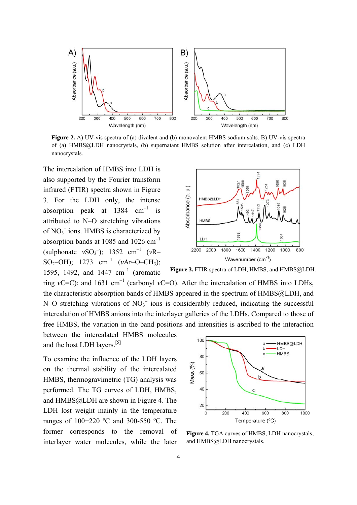

**Figure 2.** A) UV-vis spectra of (a) divalent and (b) monovalent HMBS sodium salts. B) UV-vis spectra of (a) HMBS@LDH nanocrystals, (b) supernatant HMBS solution after intercalation, and (c) LDH nanocrystals.

The intercalation of HMBS into LDH is also supported by the Fourier transform infrared (FTIR) spectra shown in Figure 3. For the LDH only, the intense absorption peak at  $1384 \text{ cm}^{-1}$  is attributed to N–O stretching vibrations of NO<sub>3</sub><sup>-</sup> ions. HMBS is characterized by absorption bands at 1085 and 1026  $cm^{-1}$  $(sulphonate vSO_3^-); 1352 cm^{-1} (vR-$ SO<sub>2</sub>–OH); 1273 cm<sup>-1</sup> ( $vAr$ –O–CH<sub>3</sub>); 1595, 1492, and 1447  $cm^{-1}$  (aromatic



Figure 3. FTIR spectra of LDH, HMBS, and HMBS@LDH.

ring *v*C=C); and 1631 cm<sup>-1</sup> (carbonyl *v*C=O). After the intercalation of HMBS into LDHs, the characteristic absorption bands of HMBS appeared in the spectrum of HMBS@LDH, and N–O stretching vibrations of  $NO<sub>3</sub><sup>-</sup>$  ions is considerably reduced, indicating the successful intercalation of HMBS anions into the interlayer galleries of the LDHs. Compared to those of free HMBS, the variation in the band positions and intensities is ascribed to the interaction

between the intercalated HMBS molecules and the host LDH layers.[5]

To examine the influence of the LDH layers on the thermal stability of the intercalated HMBS, thermogravimetric (TG) analysis was performed. The TG curves of LDH, HMBS, and HMBS@LDH are shown in Figure 4. The LDH lost weight mainly in the temperature ranges of 100−220 ºC and 300-550 ºC. The former corresponds to the removal of interlayer water molecules, while the later



**Figure 4.** TGA curves of HMBS, LDH nanocrystals, and HMBS@LDH nanocrystals.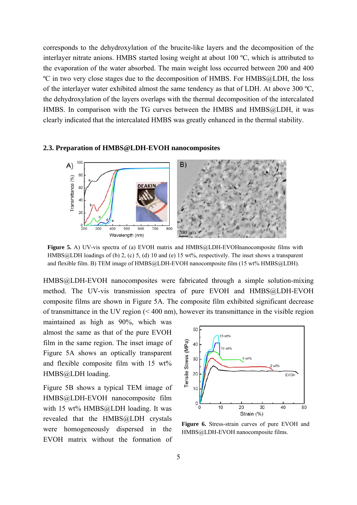corresponds to the dehydroxylation of the brucite-like layers and the decomposition of the interlayer nitrate anions. HMBS started losing weight at about 100 ºC, which is attributed to the evaporation of the water absorbed. The main weight loss occurred between 200 and 400 ºC in two very close stages due to the decomposition of HMBS. For HMBS@LDH, the loss of the interlayer water exhibited almost the same tendency as that of LDH. At above 300 ºC, the dehydroxylation of the layers overlaps with the thermal decomposition of the intercalated HMBS. In comparison with the TG curves between the HMBS and HMBS@LDH, it was clearly indicated that the intercalated HMBS was greatly enhanced in the thermal stability.

# **2.3. Preparation of HMBS@LDH-EVOH nanocomposites**



**Figure 5.** A) UV-vis spectra of (a) EVOH matrix and HMBS@LDH-EVOHnanocomposite films with HMBS@LDH loadings of (b) 2, (c) 5, (d) 10 and (e) 15 wt%, respectively. The inset shows a transparent and flexible film. B) TEM image of HMBS@LDH-EVOH nanocomposite film (15 wt% HMBS@LDH).

HMBS@LDH-EVOH nanocomposites were fabricated through a simple solution-mixing method. The UV-vis transmission spectra of pure EVOH and HMBS@LDH-EVOH composite films are shown in Figure 5A. The composite film exhibited significant decrease of transmittance in the UV region (< 400 nm), however its transmittance in the visible region

maintained as high as 90%, which was almost the same as that of the pure EVOH film in the same region. The inset image of Figure 5A shows an optically transparent and flexible composite film with 15 wt% HMBS@LDH loading.

Figure 5B shows a typical TEM image of HMBS@LDH-EVOH nanocomposite film with 15 wt% HMBS@LDH loading. It was revealed that the HMBS@LDH crystals were homogeneously dispersed in the EVOH matrix without the formation of



**Figure 6.** Stress-strain curves of pure EVOH and HMBS@LDH-EVOH nanocomposite films.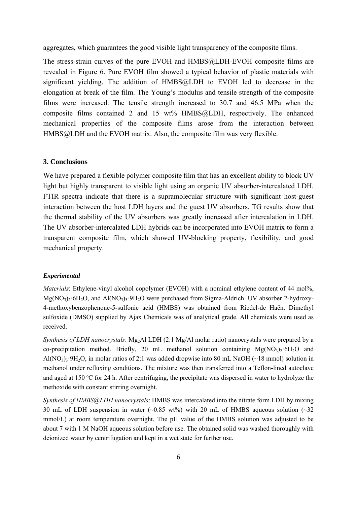aggregates, which guarantees the good visible light transparency of the composite films.

The stress-strain curves of the pure EVOH and HMBS@LDH-EVOH composite films are revealed in Figure 6. Pure EVOH film showed a typical behavior of plastic materials with significant yielding. The addition of HMBS@LDH to EVOH led to decrease in the elongation at break of the film. The Young's modulus and tensile strength of the composite films were increased. The tensile strength increased to 30.7 and 46.5 MPa when the composite films contained 2 and 15 wt% HMBS@LDH, respectively. The enhanced mechanical properties of the composite films arose from the interaction between HMBS@LDH and the EVOH matrix. Also, the composite film was very flexible.

#### **3. Conclusions**

We have prepared a flexible polymer composite film that has an excellent ability to block UV light but highly transparent to visible light using an organic UV absorber-intercalated LDH. FTIR spectra indicate that there is a supramolecular structure with significant host-guest interaction between the host LDH layers and the guest UV absorbers. TG results show that the thermal stability of the UV absorbers was greatly increased after intercalation in LDH. The UV absorber-intercalated LDH hybrids can be incorporated into EVOH matrix to form a transparent composite film, which showed UV-blocking property, flexibility, and good mechanical property.

#### *Experimental*

*Materials*: Ethylene-vinyl alcohol copolymer (EVOH) with a nominal ethylene content of 44 mol%,  $Mg(NO_3)_2.6H_2O$ , and  $Al(NO_3)_3.9H_2O$  were purchased from Sigma-Aldrich. UV absorber 2-hydroxy-4-methoxybenzophenone-5-sulfonic acid (HMBS) was obtained from Riedel-de Haën. Dimethyl sulfoxide (DMSO) supplied by Ajax Chemicals was of analytical grade. All chemicals were used as received.

*Synthesis of LDH nanocrystals*: Mg<sub>2</sub>Al LDH (2:1 Mg/Al molar ratio) nanocrystals were prepared by a co-precipitation method. Briefly, 20 mL methanol solution containing  $Mg(NO<sub>3</sub>)<sub>2</sub>·6H<sub>2</sub>O$  and Al(NO<sub>3</sub>) $\alpha$ ·9H<sub>2</sub>O, in molar ratios of 2:1 was added dropwise into 80 mL NaOH (~18 mmol) solution in methanol under refluxing conditions. The mixture was then transferred into a Teflon-lined autoclave and aged at 150 ºC for 24 h. After centrifuging, the precipitate was dispersed in water to hydrolyze the methoxide with constant stirring overnight.

*Synthesis of HMBS@LDH nanocrystals*: HMBS was intercalated into the nitrate form LDH by mixing 30 mL of LDH suspension in water  $(-0.85 \text{ wt})$  with 20 mL of HMBS aqueous solution  $(-32 \text{ wt})$ mmol/L) at room temperature overnight. The pH value of the HMBS solution was adjusted to be about 7 with 1 M NaOH aqueous solution before use. The obtained solid was washed thoroughly with deionized water by centrifugation and kept in a wet state for further use.